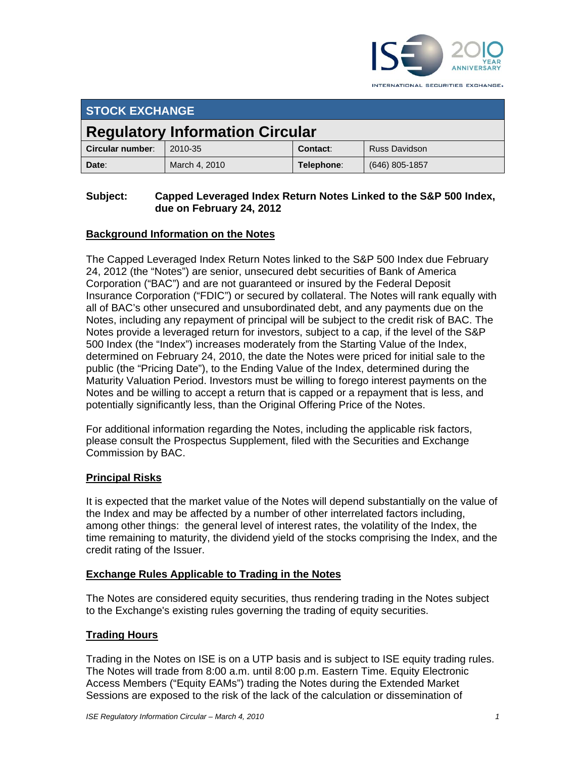

INTERNATIONAL SECURITIES EXCHANGE.

| <b>STOCK EXCHANGE</b>                  |               |            |                      |
|----------------------------------------|---------------|------------|----------------------|
| <b>Regulatory Information Circular</b> |               |            |                      |
| Circular number:                       | 2010-35       | Contact:   | <b>Russ Davidson</b> |
| Date:                                  | March 4, 2010 | Telephone: | $(646)$ 805-1857     |

#### **Subject: Capped Leveraged Index Return Notes Linked to the S&P 500 Index, due on February 24, 2012**

## **Background Information on the Notes**

The Capped Leveraged Index Return Notes linked to the S&P 500 Index due February 24, 2012 (the "Notes") are senior, unsecured debt securities of Bank of America Corporation ("BAC") and are not guaranteed or insured by the Federal Deposit Insurance Corporation ("FDIC") or secured by collateral. The Notes will rank equally with all of BAC's other unsecured and unsubordinated debt, and any payments due on the Notes, including any repayment of principal will be subject to the credit risk of BAC. The Notes provide a leveraged return for investors, subject to a cap, if the level of the S&P 500 Index (the "Index") increases moderately from the Starting Value of the Index, determined on February 24, 2010, the date the Notes were priced for initial sale to the public (the "Pricing Date"), to the Ending Value of the Index, determined during the Maturity Valuation Period. Investors must be willing to forego interest payments on the Notes and be willing to accept a return that is capped or a repayment that is less, and potentially significantly less, than the Original Offering Price of the Notes.

For additional information regarding the Notes, including the applicable risk factors, please consult the Prospectus Supplement, filed with the Securities and Exchange Commission by BAC.

#### **Principal Risks**

It is expected that the market value of the Notes will depend substantially on the value of the Index and may be affected by a number of other interrelated factors including, among other things: the general level of interest rates, the volatility of the Index, the time remaining to maturity, the dividend yield of the stocks comprising the Index, and the credit rating of the Issuer.

#### **Exchange Rules Applicable to Trading in the Notes**

The Notes are considered equity securities, thus rendering trading in the Notes subject to the Exchange's existing rules governing the trading of equity securities.

#### **Trading Hours**

Trading in the Notes on ISE is on a UTP basis and is subject to ISE equity trading rules. The Notes will trade from 8:00 a.m. until 8:00 p.m. Eastern Time. Equity Electronic Access Members ("Equity EAMs") trading the Notes during the Extended Market Sessions are exposed to the risk of the lack of the calculation or dissemination of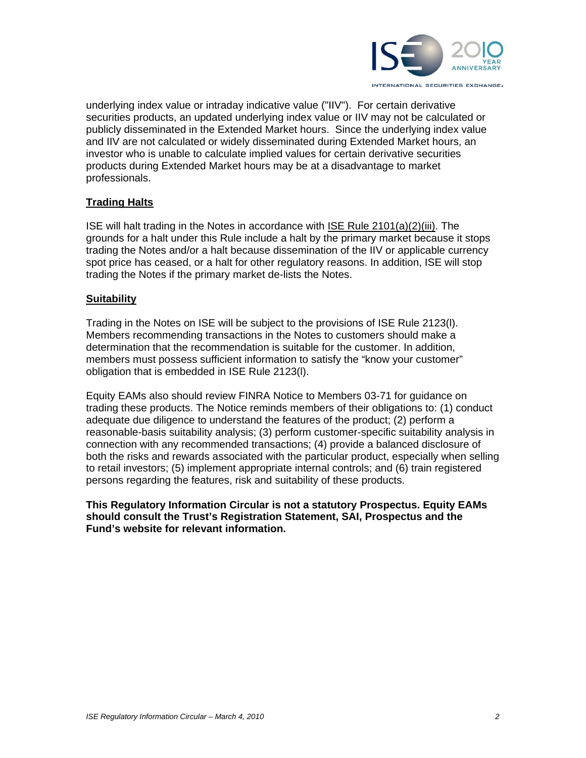

underlying index value or intraday indicative value ("IIV"). For certain derivative securities products, an updated underlying index value or IIV may not be calculated or publicly disseminated in the Extended Market hours. Since the underlying index value and IIV are not calculated or widely disseminated during Extended Market hours, an investor who is unable to calculate implied values for certain derivative securities products during Extended Market hours may be at a disadvantage to market professionals.

### **Trading Halts**

ISE will halt trading in the Notes in accordance with ISE Rule 2101(a)(2)(iii). The grounds for a halt under this Rule include a halt by the primary market because it stops trading the Notes and/or a halt because dissemination of the IIV or applicable currency spot price has ceased, or a halt for other regulatory reasons. In addition, ISE will stop trading the Notes if the primary market de-lists the Notes.

#### **Suitability**

Trading in the Notes on ISE will be subject to the provisions of ISE Rule 2123(l). Members recommending transactions in the Notes to customers should make a determination that the recommendation is suitable for the customer. In addition, members must possess sufficient information to satisfy the "know your customer" obligation that is embedded in ISE Rule 2123(l).

Equity EAMs also should review FINRA Notice to Members 03-71 for guidance on trading these products. The Notice reminds members of their obligations to: (1) conduct adequate due diligence to understand the features of the product; (2) perform a reasonable-basis suitability analysis; (3) perform customer-specific suitability analysis in connection with any recommended transactions; (4) provide a balanced disclosure of both the risks and rewards associated with the particular product, especially when selling to retail investors; (5) implement appropriate internal controls; and (6) train registered persons regarding the features, risk and suitability of these products.

**This Regulatory Information Circular is not a statutory Prospectus. Equity EAMs should consult the Trust's Registration Statement, SAI, Prospectus and the Fund's website for relevant information.**